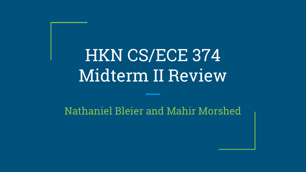# HKN CS/ECE 374 Midterm II Review

#### Nathaniel Bleier and Mahir Morshed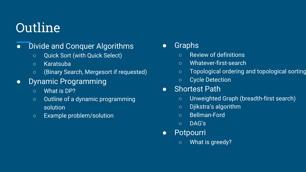## Outline

- Divide and Conquer Algorithms
	- Quick Sort (with Quick Select)
	- Karatsuba
	- (Binary Search, Mergesort if requested)
- Dynamic Programming
	- What is DP?
	- Outline of a dynamic programming solution
	- Example problem/solution
- Graphs
	- Review of definitions
	- Whatever-first-search
	- Topological ordering and topological sorting
	- Cycle Detection
- Shortest Path
	- Unweighted Graph (breadth-first search)
	- Djikstra's algorithm
	- Bellman-Ford
	- DAG's
- Potpourri
	- What is greedy?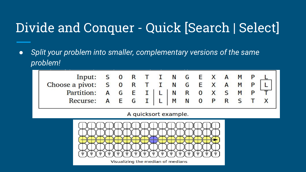### Divide and Conquer - Quick [Search | Select]

*● Split your problem into smaller, complementary versions of the same problem!*

| Input: S O R T I N G E X A M P $\lfloor \cdot \rfloor$                                                                          |  |  |  |  |  |  |  |
|---------------------------------------------------------------------------------------------------------------------------------|--|--|--|--|--|--|--|
|                                                                                                                                 |  |  |  |  |  |  |  |
|                                                                                                                                 |  |  |  |  |  |  |  |
| Choose a pivot: S 0 R T I N G E X A M P L<br>Partition: A G E I   L   N R 0 X S M P T<br>Recurse: A E G I   L   M N 0 P R S T X |  |  |  |  |  |  |  |

A quicksort example.

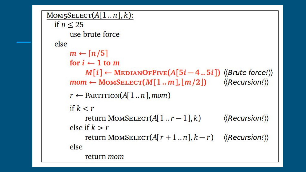```
MOM5SELECT(A[1..n],k):if n < 25use brute force
else
     m \leftarrow \lceil n/5 \rceilfor i \leftarrow 1 to m
           M[i] \leftarrow \text{MEDIANOFFIVE}(A[5i-4..5i]) (Brute force!))
     mom \leftarrow \text{MomSELECT}(M[1..m], [m/2]) \qquad \langle \text{Recursion!} \rangler \leftarrow PARTITION(A[1...n], mom)
     if k < r\langle(Recursion!))
           return MOMSELECT(A[1..r-1],k)else if k > rreturn MOMSELECT(A[r+1..n], k-r) ((Recursion!))
     else
           return mom
```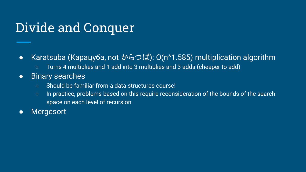### Divide and Conquer

- Karatsuba (Карацуба, not からつば): O(n^1.585) multiplication algorithm
	- Turns 4 multiplies and 1 add into 3 multiplies and 3 adds (cheaper to add)
- Binary searches
	- Should be familiar from a data structures course!
	- In practice, problems based on this require reconsideration of the bounds of the search space on each level of recursion
- Mergesort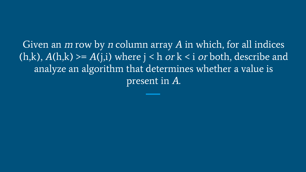Given an  $m$  row by  $n$  column array  $A$  in which, for all indices  $(h,k)$ ,  $A(h,k)$  >=  $A(j,i)$  where  $j < h$  or  $k < i$  or both, describe and analyze an algorithm that determines whether a value is present in A.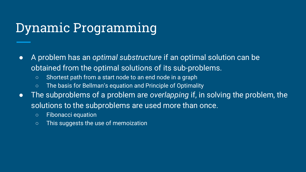#### Dynamic Programming

- A problem has an *optimal substructure* if an optimal solution can be obtained from the optimal solutions of its sub-problems.
	- Shortest path from a start node to an end node in a graph
	- The basis for Bellman's equation and Principle of Optimality
- The subproblems of a problem are *overlapping* if, in solving the problem, the solutions to the subproblems are used more than once.
	- Fibonacci equation
	- This suggests the use of memoization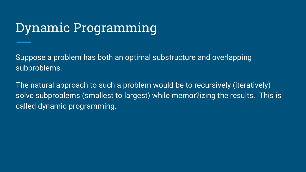#### Dynamic Programming

Suppose a problem has both an optimal substructure and overlapping subproblems.

The natural approach to such a problem would be to recursively (iteratively) solve subproblems (smallest to largest) while memor?izing the results. This is called dynamic programming.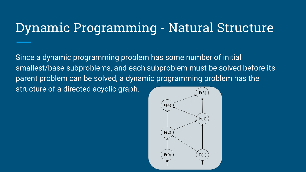#### Dynamic Programming - Natural Structure

Since a dynamic programming problem has some number of initial smallest/base subproblems, and each subproblem must be solved before its parent problem can be solved, a dynamic programming problem has the structure of a directed acyclic graph.

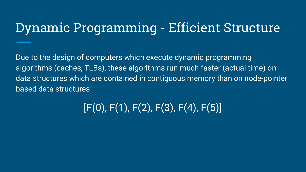#### Dynamic Programming - Efficient Structure

Due to the design of computers which execute dynamic programming algorithms (caches, TLBs), these algorithms run much faster (actual time) on data structures which are contained in contiguous memory than on node-pointer based data structures:

#### $[F(0), F(1), F(2), F(3), F(4), F(5)]$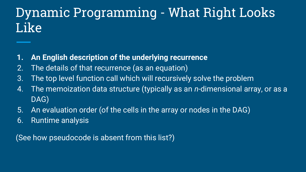### Dynamic Programming - What Right Looks Like

- **1. An English description of the underlying recurrence**
- 2. The details of that recurrence (as an equation)
- 3. The top level function call which will recursively solve the problem
- 4. The memoization data structure (typically as an *n*-dimensional array, or as a DAG)
- 5. An evaluation order (of the cells in the array or nodes in the DAG)
- 6. Runtime analysis

(See how pseudocode is absent from this list?)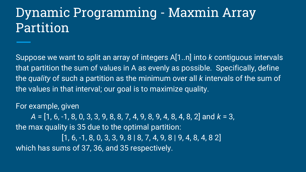Suppose we want to split an array of integers A[1..n] into *k* contiguous intervals that partition the sum of values in A as evenly as possible. Specifically, define the *quality* of such a partition as the minimum over all *k* intervals of the sum of the values in that interval; our goal is to maximize quality.

#### For example, given

*A* = [1, 6, -1, 8, 0, 3, 3, 9, 8, 8, 7, 4, 9, 8, 9, 4, 8, 4, 8, 2] and *k* = 3, the max quality is 35 due to the optimal partition: [1, 6, -1, 8, 0, 3, 3, 9, 8 | 8, 7, 4, 9, 8 | 9, 4, 8, 4, 8 2] which has sums of 37, 36, and 35 respectively.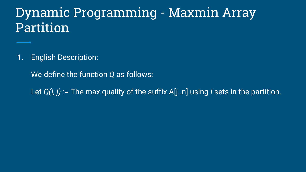1. English Description:

We define the function *Q* as follows:

Let *Q(i, j)* := The max quality of the suffix A[j..n] using *i* sets in the partition.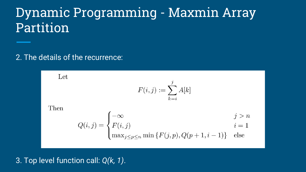2. The details of the recurrence:

Let  $F(i, j) := \sum_{k = i}^{j} A[k]$ Then  $Q(i, j) = \begin{cases} -\infty & j > n \\ F(i, j) & i = 1 \\ \max_{j \leq p \leq n} \min \{F(j, p), Q(p+1, i-1)\} & \text{else} \end{cases}$ 

#### 3. Top level function call: *Q(k, 1)*.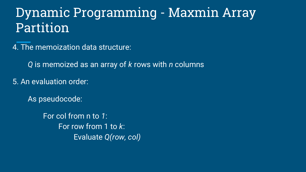4. The memoization data structure:

*Q* is memoized as an array of *k* rows with *n* columns

5. An evaluation order:

As pseudocode:

For col from n to *1*: For row from 1 to *k*: Evaluate *Q(row, col)*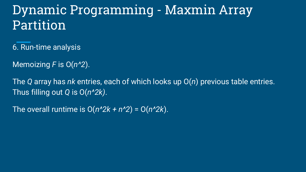- 6. Run-time analysis
- Memoizing *F* is O(*n^2*).

The *Q* array has *nk* entries, each of which looks up O(*n*) previous table entries. Thus filling out *Q* is O(*n^2k)*.

The overall runtime is  $O(n^2k + n^2) = O(n^2k)$ .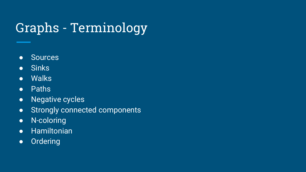## Graphs - Terminology

- Sources
- Sinks
- Walks
- Paths
- Negative cycles
- Strongly connected components
- N-coloring
- Hamiltonian
- Ordering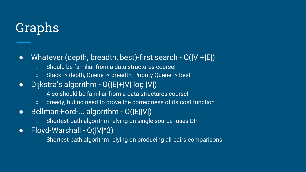### Graphs

- Whatever (depth, breadth, best)-first search O(|V|+|E|)
	- Should be familiar from a data structures course!
	- Stack -> depth, Queue -> breadth, Priority Queue -> best
- Dijkstra's algorithm O(|E|+|V| log |V|)
	- Also should be familiar from a data structures course!
	- greedy, but no need to prove the correctness of its cost function
- Bellman-Ford-... algorithm O(|E||V|)
	- Shortest-path algorithm relying on single source--uses DP
- Floyd-Warshall O(|V|^3)
	- Shortest-path algorithm relying on producing all-pairs comparisons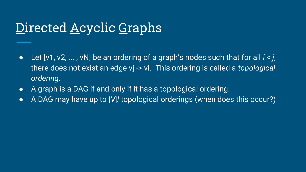#### Directed <u>A</u>cyclic Graphs

- Let [v1, v2, ... , vN] be an ordering of a graph's nodes such that for all *i < j*, there does not exist an edge vj -> vi. This ordering is called a *topological ordering*.
- A graph is a DAG if and only if it has a topological ordering.
- A DAG may have up to |*V*|*!* topological orderings (when does this occur?)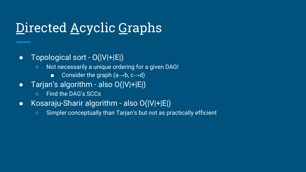### Directed <u>A</u>cyclic Graphs

- Topological sort O(|V|+|E|)
	- Not necessarily a unique ordering for a given DAG!
		- Consider the graph  $(a \rightarrow b, c \rightarrow d)$
- Tarjan's algorithm also  $O(|V|+|E|)$ 
	- Find the DAG's SCCs
- Kosaraju-Sharir algorithm also O(|V|+|E|)
	- Simpler conceptually than Tarjan's but not as practically efficient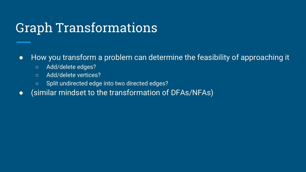#### Graph Transformations

● How you transform a problem can determine the feasibility of approaching it

- Add/delete edges?
- Add/delete vertices?
- Split undirected edge into two directed edges?
- (similar mindset to the transformation of DFAs/NFAs)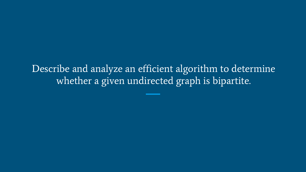Describe and analyze an efficient algorithm to determine whether a given undirected graph is bipartite.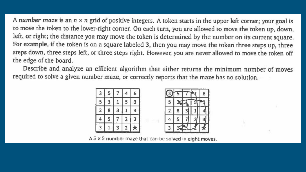A number maze is an  $n \times n$  grid of positive integers. A token starts in the upper left corner; your goal is to move the token to the lower-right corner. On each turn, you are allowed to move the token up, down, left, or right; the distance you may move the token is determined by the number on its current square. For example, if the token is on a square labeled 3, then you may move the token three steps up, three steps down, three steps left, or three steps right. However, you are never allowed to move the token off the edge of the board.

Describe and analyze an efficient algorithm that either returns the minimum number of moves required to solve a given number maze, or correctly reports that the maze has no solution.





 $A 5 \times 5$  number maze that can be solved in eight moves.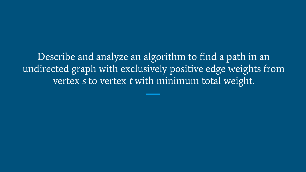Describe and analyze an algorithm to find a path in an undirected graph with exclusively positive edge weights from vertex s to vertex t with minimum total weight.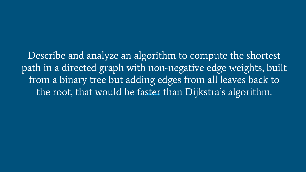Describe and analyze an algorithm to compute the shortest path in a directed graph with non-negative edge weights, built from a binary tree but adding edges from all leaves back to the root, that would be faster than Dijkstra's algorithm.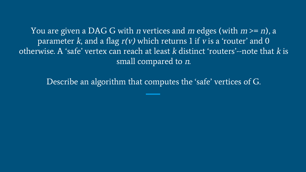You are given a DAG G with *n* vertices and *m* edges (with  $m \ge n$ ), a parameter  $k$ , and a flag  $r(v)$  which returns 1 if  $v$  is a 'router' and 0 otherwise. A 'safe' vertex can reach at least  $k$  distinct 'routers'--note that  $k$  is small compared to n.

Describe an algorithm that computes the 'safe' vertices of G.